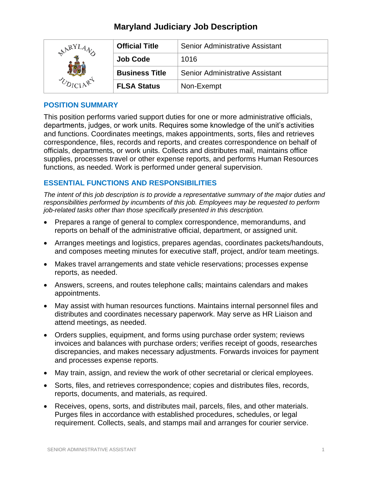## **Maryland Judiciary Job Description**

| RY | <b>Official Title</b> | <b>Senior Administrative Assistant</b> |
|----|-----------------------|----------------------------------------|
|    | <b>Job Code</b>       | 1016                                   |
|    | <b>Business Title</b> | Senior Administrative Assistant        |
|    | <b>FLSA Status</b>    | Non-Exempt                             |

### **POSITION SUMMARY**

This position performs varied support duties for one or more administrative officials, departments, judges, or work units. Requires some knowledge of the unit's activities and functions. Coordinates meetings, makes appointments, sorts, files and retrieves correspondence, files, records and reports, and creates correspondence on behalf of officials, departments, or work units. Collects and distributes mail, maintains office supplies, processes travel or other expense reports, and performs Human Resources functions, as needed. Work is performed under general supervision.

## **ESSENTIAL FUNCTIONS AND RESPONSIBILITIES**

*The intent of this job description is to provide a representative summary of the major duties and responsibilities performed by incumbents of this job. Employees may be requested to perform job-related tasks other than those specifically presented in this description.*

- Prepares a range of general to complex correspondence, memorandums, and reports on behalf of the administrative official, department, or assigned unit.
- Arranges meetings and logistics, prepares agendas, coordinates packets/handouts, and composes meeting minutes for executive staff, project, and/or team meetings.
- Makes travel arrangements and state vehicle reservations; processes expense reports, as needed.
- Answers, screens, and routes telephone calls; maintains calendars and makes appointments.
- May assist with human resources functions. Maintains internal personnel files and distributes and coordinates necessary paperwork. May serve as HR Liaison and attend meetings, as needed.
- Orders supplies, equipment, and forms using purchase order system; reviews invoices and balances with purchase orders; verifies receipt of goods, researches discrepancies, and makes necessary adjustments. Forwards invoices for payment and processes expense reports.
- May train, assign, and review the work of other secretarial or clerical employees.
- Sorts, files, and retrieves correspondence; copies and distributes files, records, reports, documents, and materials, as required.
- Receives, opens, sorts, and distributes mail, parcels, files, and other materials. Purges files in accordance with established procedures, schedules, or legal requirement. Collects, seals, and stamps mail and arranges for courier service.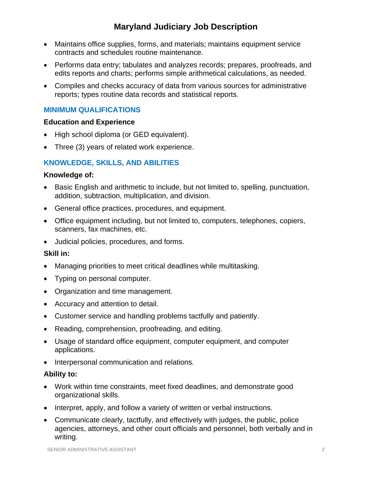# **Maryland Judiciary Job Description**

- Maintains office supplies, forms, and materials; maintains equipment service contracts and schedules routine maintenance.
- Performs data entry; tabulates and analyzes records; prepares, proofreads, and edits reports and charts; performs simple arithmetical calculations, as needed.
- Compiles and checks accuracy of data from various sources for administrative reports; types routine data records and statistical reports.

## **MINIMUM QUALIFICATIONS**

### **Education and Experience**

- High school diploma (or GED equivalent).
- Three (3) years of related work experience.

## **KNOWLEDGE, SKILLS, AND ABILITIES**

### **Knowledge of:**

- Basic English and arithmetic to include, but not limited to, spelling, punctuation, addition, subtraction, multiplication, and division.
- General office practices, procedures, and equipment.
- Office equipment including, but not limited to, computers, telephones, copiers, scanners, fax machines, etc.
- Judicial policies, procedures, and forms.

## **Skill in:**

- Managing priorities to meet critical deadlines while multitasking.
- Typing on personal computer.
- Organization and time management.
- Accuracy and attention to detail.
- Customer service and handling problems tactfully and patiently.
- Reading, comprehension, proofreading, and editing.
- Usage of standard office equipment, computer equipment, and computer applications.
- Interpersonal communication and relations.

### **Ability to:**

- Work within time constraints, meet fixed deadlines, and demonstrate good organizational skills.
- Interpret, apply, and follow a variety of written or verbal instructions.
- Communicate clearly, tactfully, and effectively with judges, the public, police agencies, attorneys, and other court officials and personnel, both verbally and in writing.